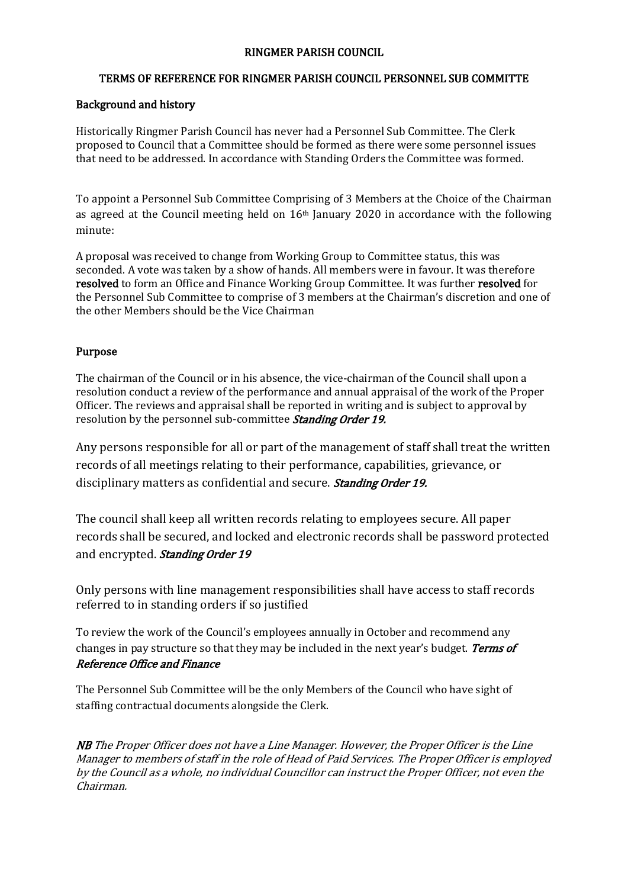## RINGMER PARISH COUNCIL

### TERMS OF REFERENCE FOR RINGMER PARISH COUNCIL PERSONNEL SUB COMMITTE

#### Background and history

Historically Ringmer Parish Council has never had a Personnel Sub Committee. The Clerk proposed to Council that a Committee should be formed as there were some personnel issues that need to be addressed. In accordance with Standing Orders the Committee was formed.

To appoint a Personnel Sub Committee Comprising of 3 Members at the Choice of the Chairman as agreed at the Council meeting held on  $16<sup>th</sup>$  January 2020 in accordance with the following minute:

A proposal was received to change from Working Group to Committee status, this was seconded. A vote was taken by a show of hands. All members were in favour. It was therefore resolved to form an Office and Finance Working Group Committee. It was further resolved for the Personnel Sub Committee to comprise of 3 members at the Chairman's discretion and one of the other Members should be the Vice Chairman

#### Purpose

The chairman of the Council or in his absence, the vice-chairman of the Council shall upon a resolution conduct a review of the performance and annual appraisal of the work of the Proper Officer. The reviews and appraisal shall be reported in writing and is subject to approval by resolution by the personnel sub-committee *Standing Order 19.* 

Any persons responsible for all or part of the management of staff shall treat the written records of all meetings relating to their performance, capabilities, grievance, or disciplinary matters as confidential and secure. *Standing Order 19.* 

The council shall keep all written records relating to employees secure. All paper records shall be secured, and locked and electronic records shall be password protected and encrypted. Standing Order 19

Only persons with line management responsibilities shall have access to staff records referred to in standing orders if so justified

To review the work of the Council's employees annually in October and recommend any changes in pay structure so that they may be included in the next year's budget. Terms of Reference Office and Finance

The Personnel Sub Committee will be the only Members of the Council who have sight of staffing contractual documents alongside the Clerk.

NB The Proper Officer does not have a Line Manager. However, the Proper Officer is the Line Manager to members of staff in the role of Head of Paid Services. The Proper Officer is employed by the Council as a whole, no individual Councillor can instruct the Proper Officer, not even the Chairman.